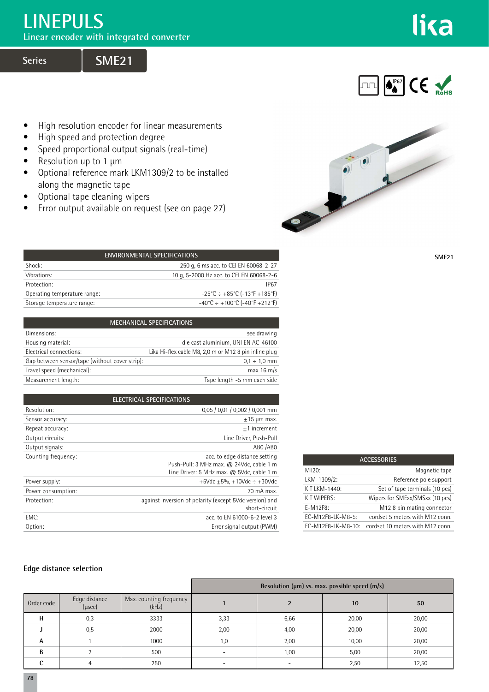## **LINEPULS**

**Linear encoder with integrated converter**

**Series** 

**THE OFFET CE ROHS** 

lika

- High resolution encoder for linear measurements
- High speed and protection degree
- Speed proportional output signals (real-time)
- Resolution up to 1 μm
- Optional reference mark LKM1309/2 to be installed along the magnetic tape
- Optional tape cleaning wipers
- Error output available on request (see on page 27)



**SME21**

| <b>ENVIRONMENTAL SPECIFICATIONS</b> |                                                                          |  |
|-------------------------------------|--------------------------------------------------------------------------|--|
| Shock:                              | 250 g, 6 ms acc. to CEI EN 60068-2-27                                    |  |
| Vibrations:                         | 10 g, 5-2000 Hz acc. to CEI EN 60068-2-6                                 |  |
| Protection:                         | <b>IP67</b>                                                              |  |
| Operating temperature range:        | $-25^{\circ}$ C ÷ +85 $^{\circ}$ C (-13 $^{\circ}$ F +185 $^{\circ}$ F)  |  |
| Storage temperature range:          | $-40^{\circ}$ C ÷ +100 $^{\circ}$ C (-40 $^{\circ}$ F +212 $^{\circ}$ F) |  |
|                                     |                                                                          |  |

| <b>MECHANICAL SPECIFICATIONS</b>               |                                                       |  |
|------------------------------------------------|-------------------------------------------------------|--|
| Dimensions:                                    | see drawing                                           |  |
| Housing material:                              | die cast aluminium, UNI EN AC-46100                   |  |
| Electrical connections:                        | Lika Hi-flex cable M8, 2,0 m or M12 8 pin inline plug |  |
| Gap between sensor/tape (without cover strip): | $0.1 \div 1.0$ mm                                     |  |
| Travel speed (mechanical):                     | max 16 m/s                                            |  |
| Measurement length:                            | Tape length -5 mm each side                           |  |

|                     | <b>ELECTRICAL SPECIFICATIONS</b>                        |
|---------------------|---------------------------------------------------------|
| Resolution:         | 0,05 / 0,01 / 0,002 / 0,001 mm                          |
| Sensor accuracy:    | $±15 \mu m$ max.                                        |
| Repeat accuracy:    | $+1$ increment                                          |
| Output circuits:    | Line Driver, Push-Pull                                  |
| Output signals:     | ABO /ABO                                                |
| Counting frequency: | acc. to edge distance setting                           |
|                     | Push-Pull: 3 MHz max. @ 24Vdc, cable 1 m                |
|                     | Line Driver: 5 MHz max. @ 5Vdc, cable 1 m               |
| Power supply:       | $+5$ Vdc $+5%$ , $+10$ Vdc $\div$ $+30$ Vdc             |
| Power consumption:  | 70 mA max.                                              |
| Protection:         | against inversion of polarity (except 5Vdc version) and |
|                     | short-circuit                                           |
| FMC:                | acc. to EN 61000-6-2 level 3                            |
| Option:             | Error signal output (PWM)                               |

| <b>ACCESSORIES</b> |                                  |
|--------------------|----------------------------------|
| MT20:              | Magnetic tape                    |
| LKM-1309/2:        | Reference pole support           |
| KIT LKM-1440:      | Set of tape terminals (10 pcs)   |
| KIT WIPERS:        | Wipers for SMExx/SMSxx (10 pcs)  |
| $F-M12F8$ :        | M12 8 pin mating connector       |
| $FC-M12F8-LK-M8-5$ | cordset 5 meters with M12 conn.  |
| EC-M12F8-LK-M8-10: | cordset 10 meters with M12 conn. |

## **Edge distance selection**

|              |                         |                                  | Resolution (µm) vs. max. possible speed (m/s) |      |       |       |
|--------------|-------------------------|----------------------------------|-----------------------------------------------|------|-------|-------|
| Order code   | Edge distance<br>(µsec) | Max. counting frequency<br>(kHz) |                                               |      | 10    | 50    |
| н            | 0,3                     | 3333                             | 3,33                                          | 6,66 | 20,00 | 20,00 |
|              | 0,5                     | 2000                             | 2,00                                          | 4,00 | 20,00 | 20,00 |
| A            |                         | 1000                             | 1,0                                           | 2,00 | 10,00 | 20,00 |
| <sub>R</sub> |                         | 500                              | $\overline{\phantom{a}}$                      | 1,00 | 5,00  | 20,00 |
| $\sim$       |                         | 250                              | $\overline{\phantom{0}}$                      | ۰    | 2,50  | 12,50 |